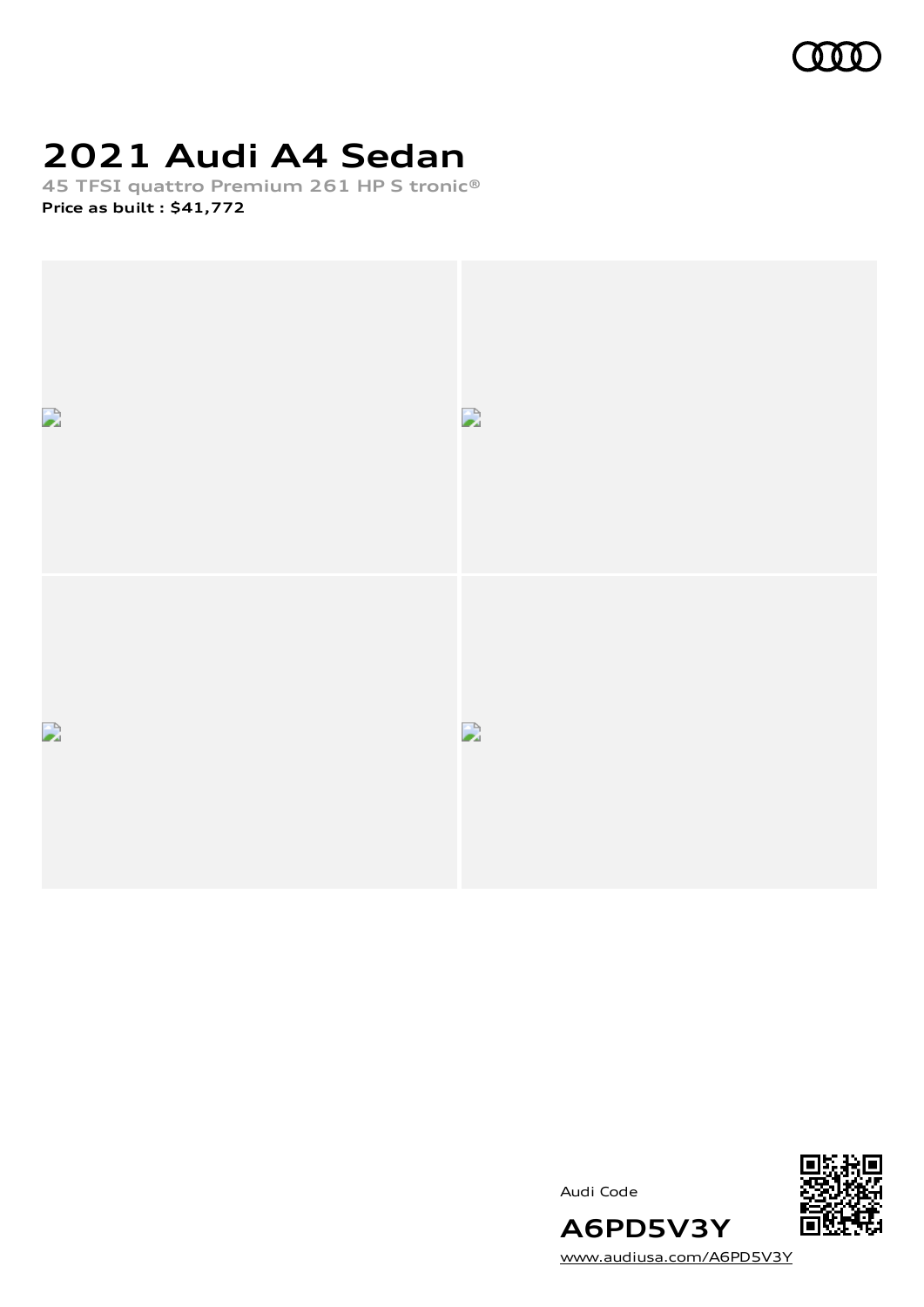

# **2021 Audi A4 Sedan**

**45 TFSI quattro Premium 261 HP S tronic® Price as built [:](#page-9-0) \$41,772**





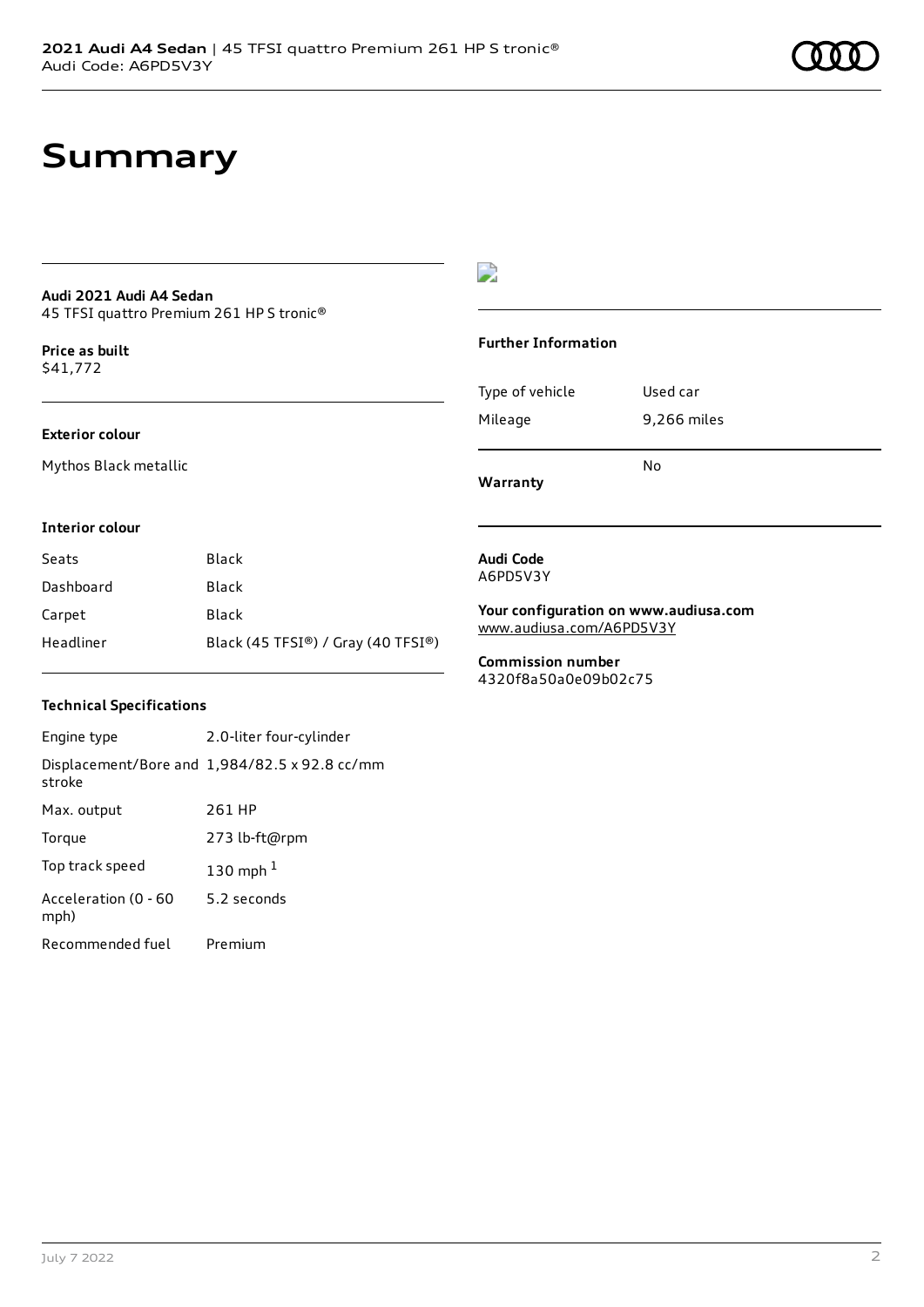# **Summary**

#### **Audi 2021 Audi A4 Sedan** 45 TFSI quattro Premium 261 HP S tronic®

**Price as buil[t](#page-9-0)** \$41,772

### **Exterior colour**

Mythos Black metallic

## $\overline{\phantom{a}}$

### **Further Information**

|                 | No          |
|-----------------|-------------|
| Mileage         | 9,266 miles |
| Type of vehicle | Used car    |

**Warranty**

### **Interior colour**

| Seats     | Black                              |
|-----------|------------------------------------|
| Dashboard | Black                              |
| Carpet    | Black                              |
| Headliner | Black (45 TFSI®) / Gray (40 TFSI®) |

## **Technical Specifications**

| Engine type                  | 2.0-liter four-cylinder                       |
|------------------------------|-----------------------------------------------|
| stroke                       | Displacement/Bore and 1,984/82.5 x 92.8 cc/mm |
| Max. output                  | 261 HP                                        |
| Torque                       | 273 lb-ft@rpm                                 |
| Top track speed              | 130 mph $1$                                   |
| Acceleration (0 - 60<br>mph) | 5.2 seconds                                   |
| Recommended fuel             | Premium                                       |

#### **Audi Code** A6PD5V3Y

**Your configuration on www.audiusa.com** [www.audiusa.com/A6PD5V3Y](https://www.audiusa.com/A6PD5V3Y)

**Commission number** 4320f8a50a0e09b02c75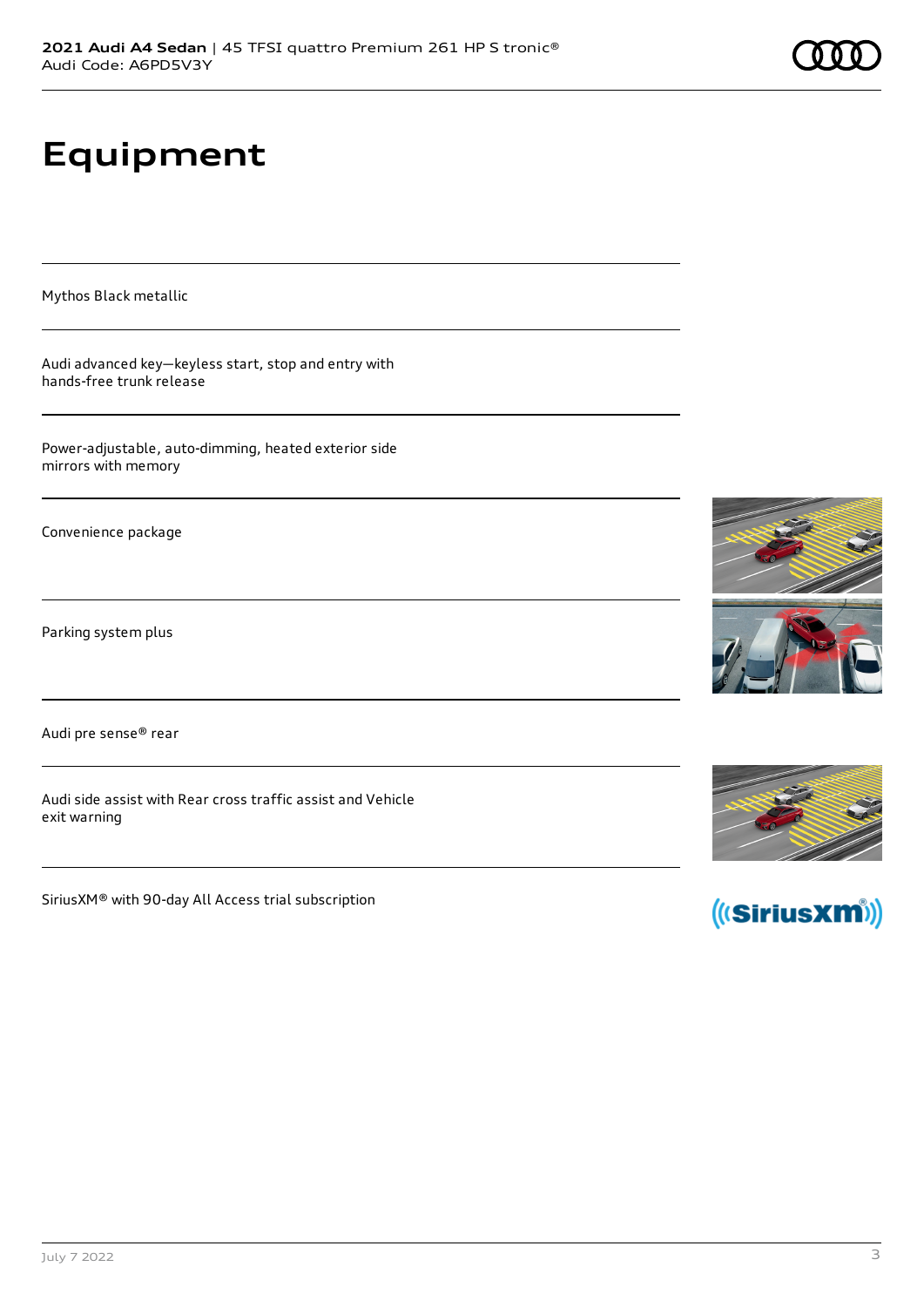# **Equipment**

Mythos Black metallic

Audi advanced key—keyless start, stop and entry with hands-free trunk release

Power-adjustable, auto-dimming, heated exterior side mirrors with memory

Convenience package

Parking system plus

Audi pre sense® rear

Audi side assist with Rear cross traffic assist and Vehicle exit warning

SiriusXM® with 90-day All Access trial subscription







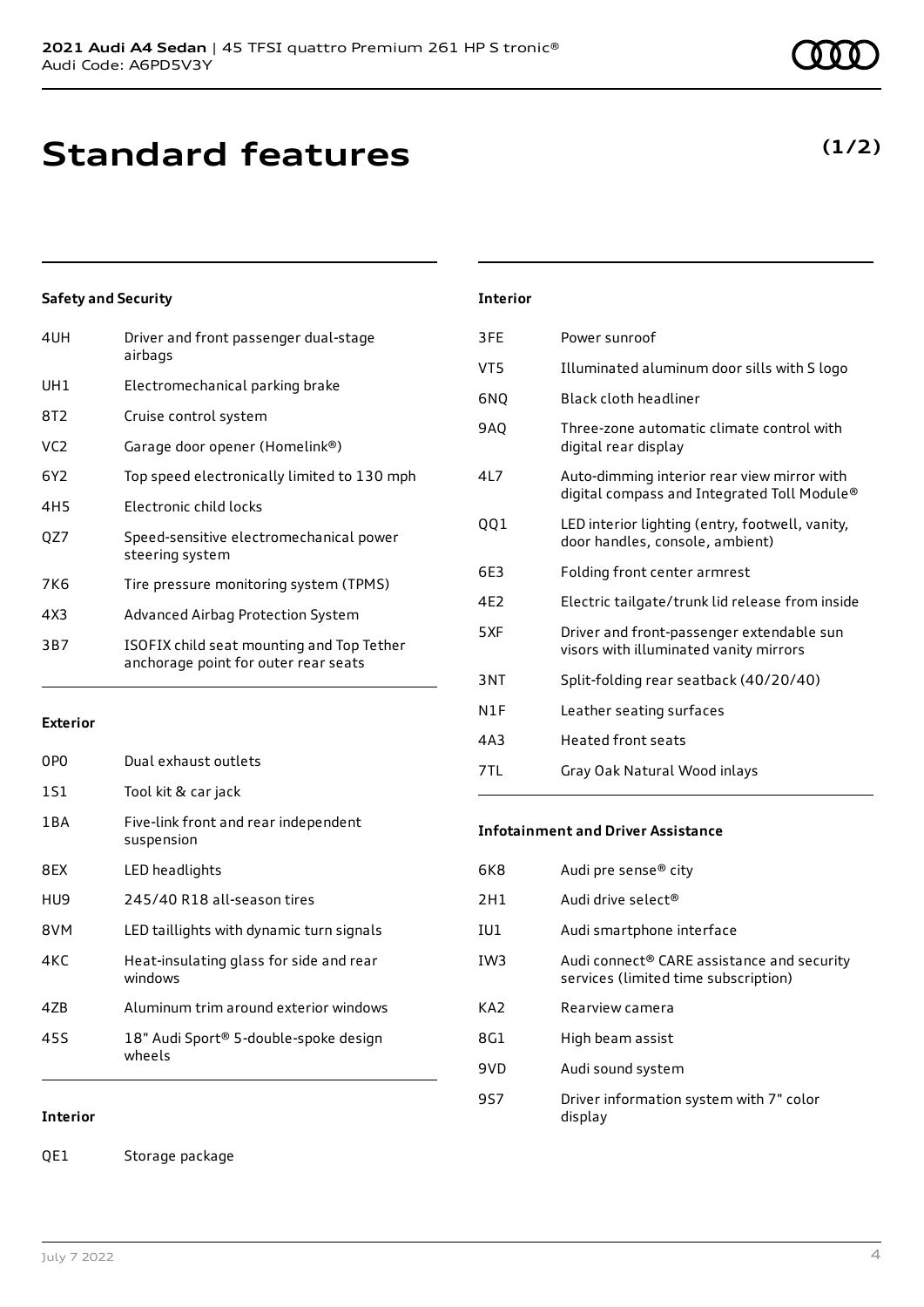# **Standard features**

## **Safety and Security**

| 4UH             | Driver and front passenger dual-stage<br>airbags                                  |
|-----------------|-----------------------------------------------------------------------------------|
| UH1             | Electromechanical parking brake                                                   |
| 8T2             | Cruise control system                                                             |
| VC2             | Garage door opener (Homelink®)                                                    |
| 6Y2             | Top speed electronically limited to 130 mph                                       |
| 4H <sub>5</sub> | Electronic child locks                                                            |
| QZ7             | Speed-sensitive electromechanical power<br>steering system                        |
| 7K6             | Tire pressure monitoring system (TPMS)                                            |
| 4X3             | Advanced Airbag Protection System                                                 |
| 3B7             | ISOFIX child seat mounting and Top Tether<br>anchorage point for outer rear seats |
|                 |                                                                                   |

#### **Exterior**

| 0PO   | Dual exhaust outlets                               |
|-------|----------------------------------------------------|
| 1S1   | Tool kit & car jack                                |
| 1 B A | Five-link front and rear independent<br>suspension |
| 8FX   | LED headlights                                     |
| HU9   | 245/40 R18 all-season tires                        |
| 8VM   | LED taillights with dynamic turn signals           |
| 4KC   | Heat-insulating glass for side and rear<br>windows |
| 47B   | Aluminum trim around exterior windows              |
| 455   | 18" Audi Sport® 5-double-spoke design<br>wheels    |

## **Interior**

QE1 Storage package

## **Interior**

| 3FE             | Power sunroof                                                                              |
|-----------------|--------------------------------------------------------------------------------------------|
| VT5             | Illuminated aluminum door sills with S logo                                                |
| 6NQ             | Black cloth headliner                                                                      |
| <b>9AQ</b>      | Three-zone automatic climate control with<br>digital rear display                          |
| 417             | Auto-dimming interior rear view mirror with<br>digital compass and Integrated Toll Module® |
| 001             | LED interior lighting (entry, footwell, vanity,<br>door handles, console, ambient)         |
| 6E3             | Folding front center armrest                                                               |
| 4F <sub>2</sub> | Electric tailgate/trunk lid release from inside                                            |
| 5XF             | Driver and front-passenger extendable sun<br>visors with illuminated vanity mirrors        |
| 3NT             | Split-folding rear seatback (40/20/40)                                                     |
| N1F             | Leather seating surfaces                                                                   |
| 4A3             | <b>Heated front seats</b>                                                                  |
| 7TL             | Gray Oak Natural Wood inlays                                                               |

#### **Infotainment and Driver Assistance**

| 6K8             | Audi pre sense <sup>®</sup> city                                                               |
|-----------------|------------------------------------------------------------------------------------------------|
| 2H1             | Audi drive select <sup>®</sup>                                                                 |
| IU1             | Audi smartphone interface                                                                      |
| IW <sub>3</sub> | Audi connect <sup>®</sup> CARE assistance and security<br>services (limited time subscription) |
| KA <sub>2</sub> | Rearview camera                                                                                |
| 8G1             | High beam assist                                                                               |
| 9VD             | Audi sound system                                                                              |
| 9S7             | Driver information system with 7" color<br>display                                             |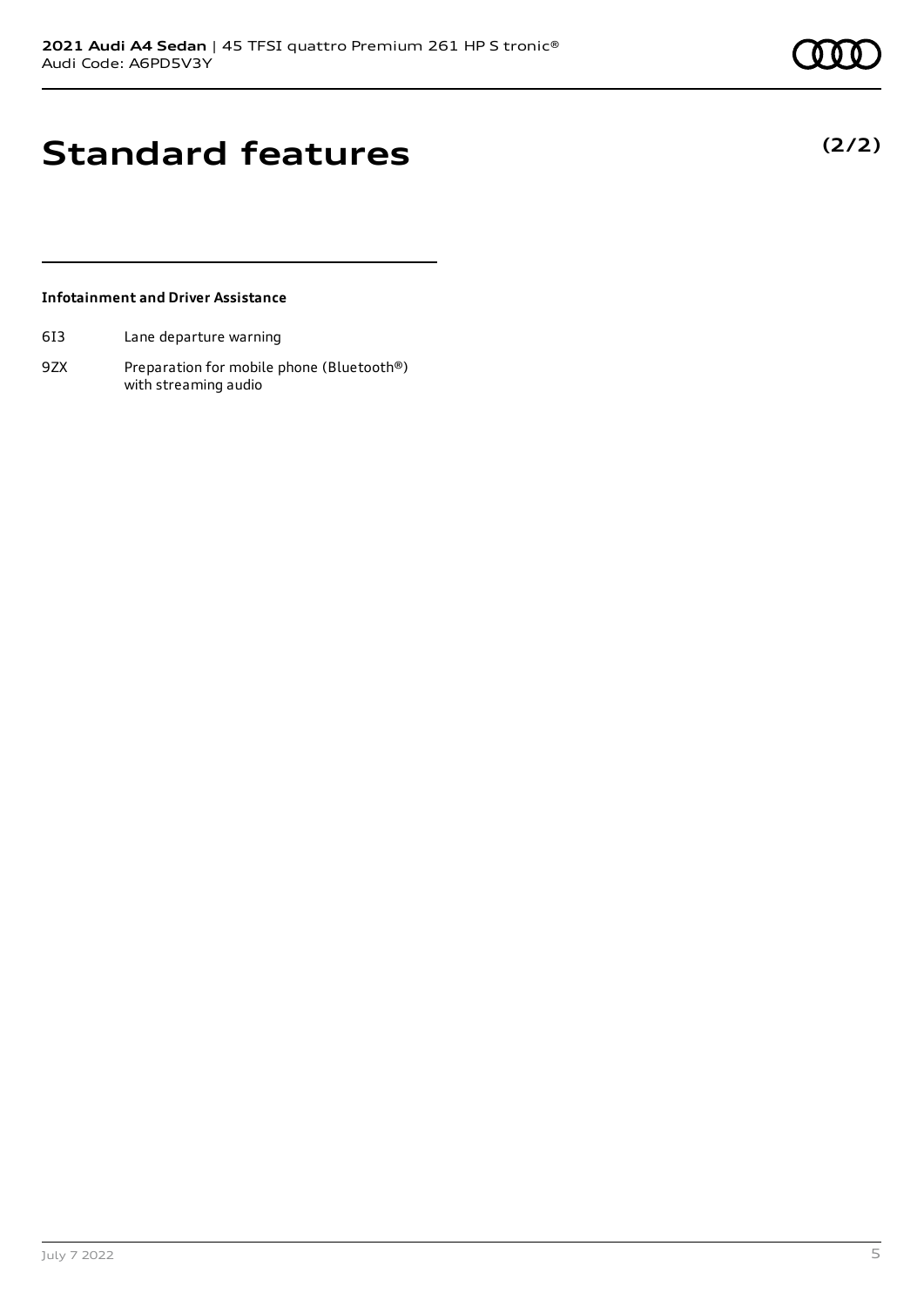**(2/2)**

# **Standard features**

## **Infotainment and Driver Assistance**

- 6I3 Lane departure warning
- 9ZX Preparation for mobile phone (Bluetooth®) with streaming audio

July 7 2022 5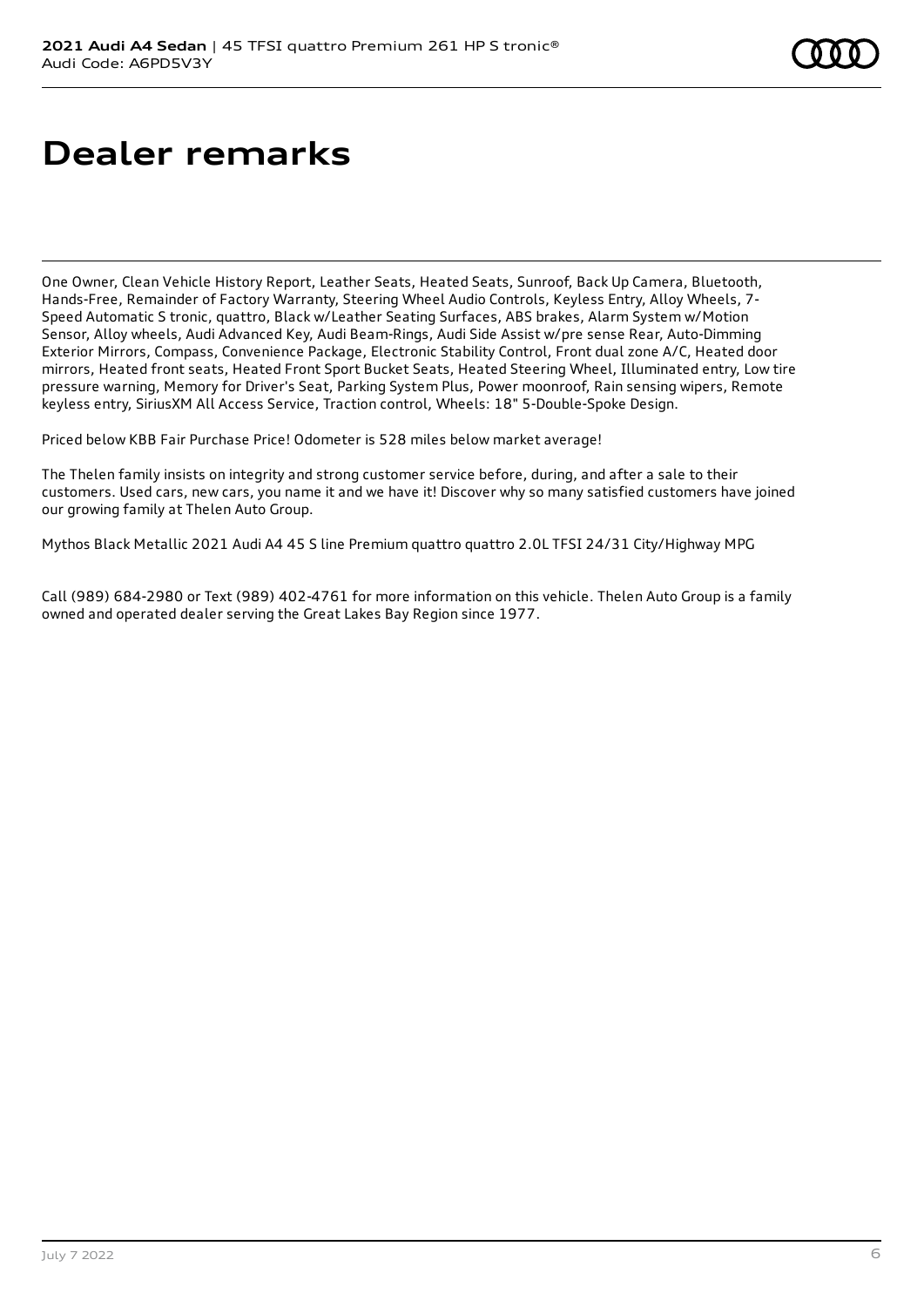# **Dealer remarks**

One Owner, Clean Vehicle History Report, Leather Seats, Heated Seats, Sunroof, Back Up Camera, Bluetooth, Hands-Free, Remainder of Factory Warranty, Steering Wheel Audio Controls, Keyless Entry, Alloy Wheels, 7- Speed Automatic S tronic, quattro, Black w/Leather Seating Surfaces, ABS brakes, Alarm System w/Motion Sensor, Alloy wheels, Audi Advanced Key, Audi Beam-Rings, Audi Side Assist w/pre sense Rear, Auto-Dimming Exterior Mirrors, Compass, Convenience Package, Electronic Stability Control, Front dual zone A/C, Heated door mirrors, Heated front seats, Heated Front Sport Bucket Seats, Heated Steering Wheel, Illuminated entry, Low tire pressure warning, Memory for Driver's Seat, Parking System Plus, Power moonroof, Rain sensing wipers, Remote keyless entry, SiriusXM All Access Service, Traction control, Wheels: 18" 5-Double-Spoke Design.

Priced below KBB Fair Purchase Price! Odometer is 528 miles below market average!

The Thelen family insists on integrity and strong customer service before, during, and after a sale to their customers. Used cars, new cars, you name it and we have it! Discover why so many satisfied customers have joined our growing family at Thelen Auto Group.

Mythos Black Metallic 2021 Audi A4 45 S line Premium quattro quattro 2.0L TFSI 24/31 City/Highway MPG

Call (989) 684-2980 or Text (989) 402-4761 for more information on this vehicle. Thelen Auto Group is a family owned and operated dealer serving the Great Lakes Bay Region since 1977.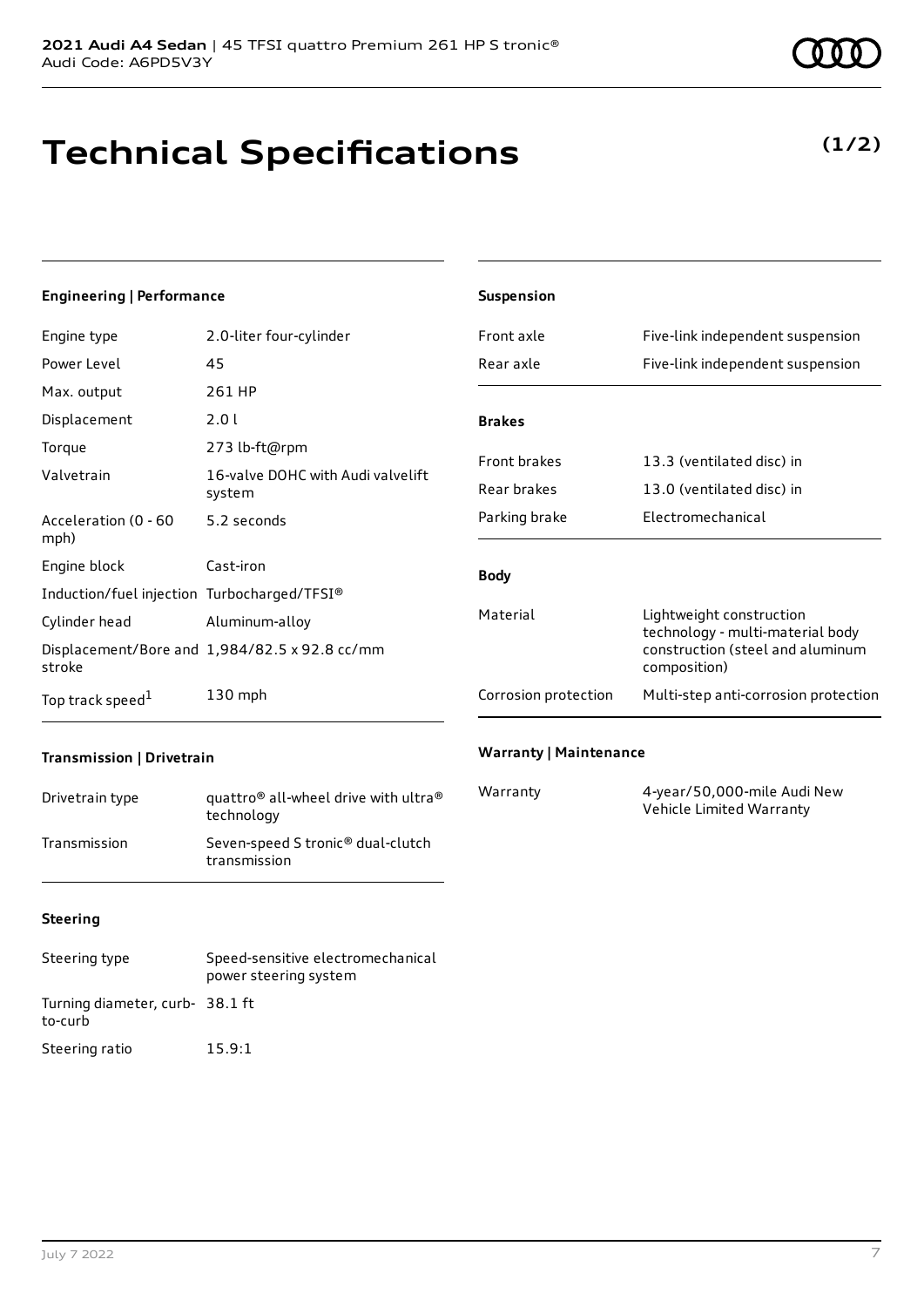# **Technical Specifications**

#### July 7 2022 7

**Warranty | Maintenance**

Vehicle Limited Warranty

Warranty 4-year/50,000-mile Audi New

## **Steering**

**Transmission | Drivetrain**

| Steering type                             | Speed-sensitive electromechanical<br>power steering system |
|-------------------------------------------|------------------------------------------------------------|
| Turning diameter, curb-38.1 ft<br>to-curb |                                                            |
| Steering ratio                            | 15.9:1                                                     |

Drivetrain type quattro<sup>®</sup> all-wheel drive with ultra<sup>®</sup> technology Transmission Seven-speed S tronic® dual-clutch transmission

| <b>Engineering   Performance</b>            |                                               | Suspension                           |                                                                                      |  |
|---------------------------------------------|-----------------------------------------------|--------------------------------------|--------------------------------------------------------------------------------------|--|
| Engine type                                 | 2.0-liter four-cylinder                       | Front axle                           | Five-link independent suspension                                                     |  |
| Power Level                                 | 45                                            | Rear axle                            | Five-link independent suspension                                                     |  |
| Max. output                                 | 261 HP                                        |                                      |                                                                                      |  |
| Displacement                                | 2.01                                          | <b>Brakes</b>                        |                                                                                      |  |
| Torque                                      | 273 lb-ft@rpm                                 | Front brakes                         | 13.3 (ventilated disc) in                                                            |  |
| Valvetrain                                  | 16-valve DOHC with Audi valvelift<br>system   | Rear brakes                          | 13.0 (ventilated disc) in                                                            |  |
| Acceleration (0 - 60<br>mph)                | 5.2 seconds                                   | Parking brake                        | Electromechanical                                                                    |  |
| Engine block                                | Cast-iron                                     | <b>Body</b>                          |                                                                                      |  |
| Induction/fuel injection Turbocharged/TFSI® |                                               |                                      |                                                                                      |  |
| Cylinder head                               | Aluminum-alloy                                | Material<br>Lightweight construction |                                                                                      |  |
| stroke                                      | Displacement/Bore and 1,984/82.5 x 92.8 cc/mm |                                      | technology - multi-material body<br>construction (steel and aluminum<br>composition) |  |
| Top track speed <sup>1</sup>                | 130 mph                                       | Corrosion protection                 | Multi-step anti-corrosion protection                                                 |  |

**(1/2)**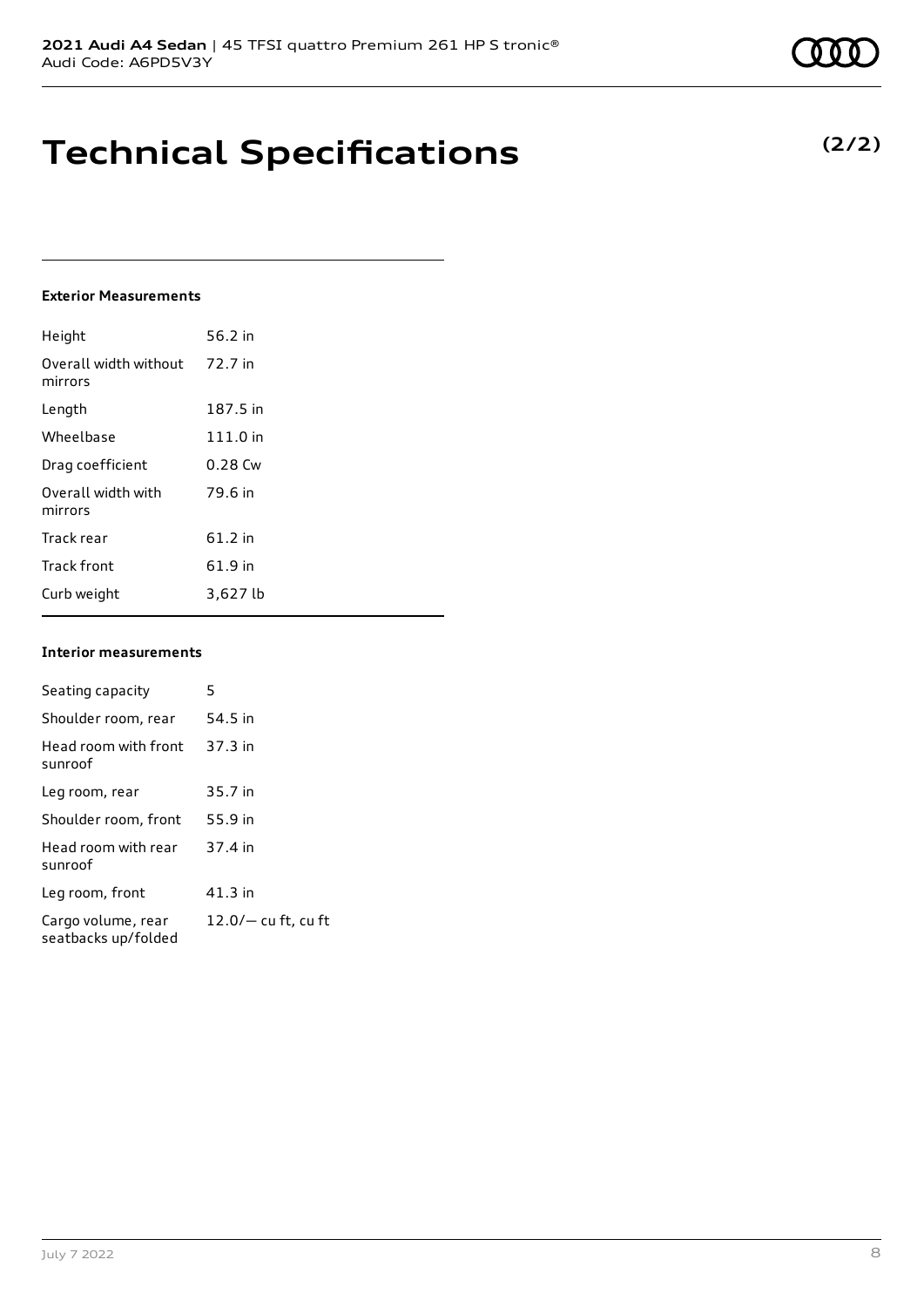# **Technical Specifications**

### **Exterior Measurements**

| Height                           | 56.2 in   |
|----------------------------------|-----------|
| Overall width without<br>mirrors | 72.7 in   |
| Length                           | 187.5 in  |
| Wheelbase                        | 111.0 in  |
| Drag coefficient                 | $0.28$ Cw |
| Overall width with<br>mirrors    | 79.6 in   |
| Track rear                       | $61.2$ in |
| <b>Track front</b>               | 61.9 in   |
| Curb weight                      | 3,627 lb  |

### **Interior measurements**

| Seating capacity                          | 5                     |
|-------------------------------------------|-----------------------|
| Shoulder room, rear                       | 54.5 in               |
| Head room with front<br>sunroof           | 37.3 in               |
| Leg room, rear                            | 35.7 in               |
| Shoulder room, front                      | 55.9 in               |
| Head room with rear<br>sunroof            | 37.4 in               |
| Leg room, front                           | 41.3 in               |
| Cargo volume, rear<br>seatbacks up/folded | $12.0/-$ cu ft, cu ft |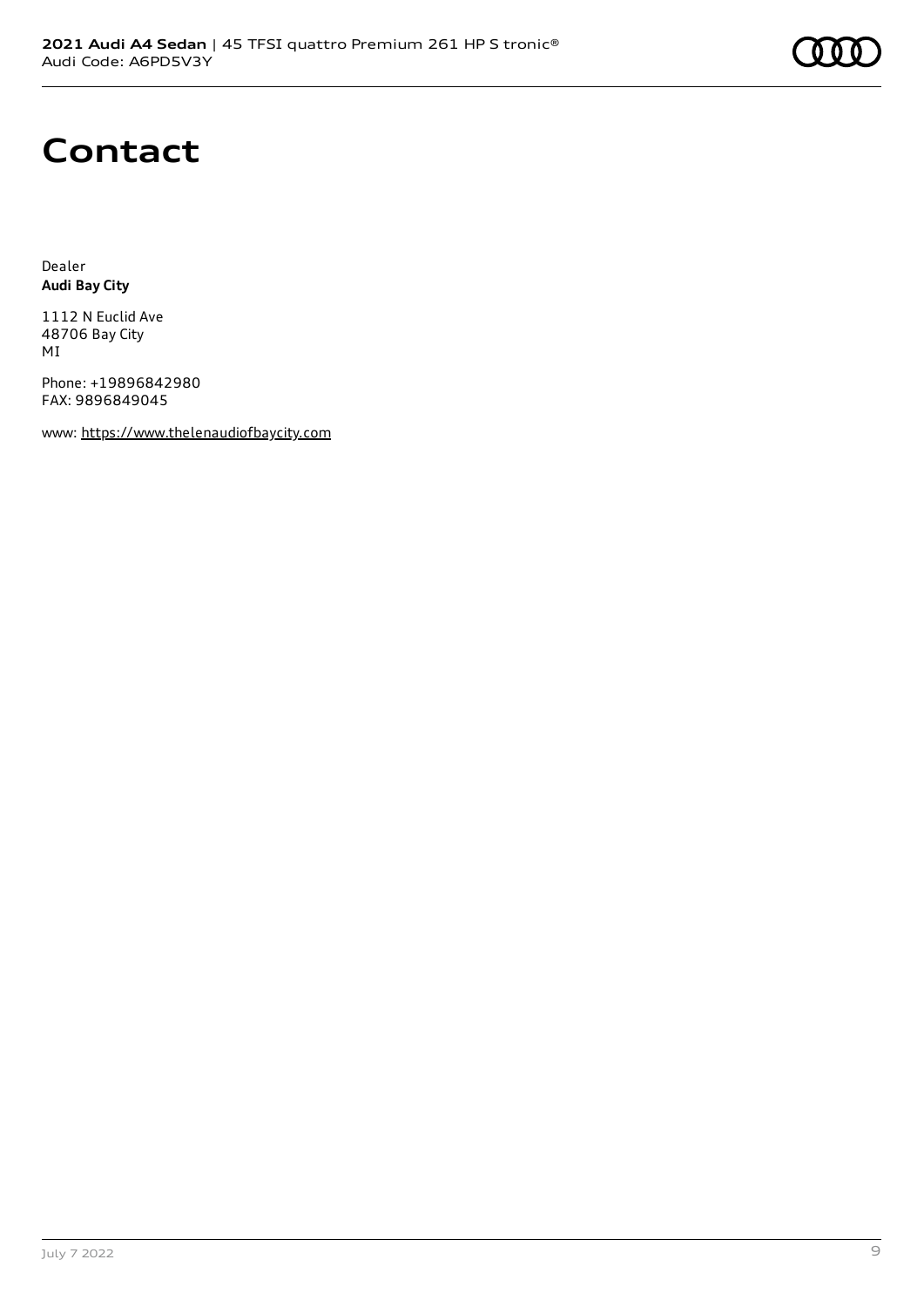

# **Contact**

Dealer **Audi Bay City**

1112 N Euclid Ave 48706 Bay City MI

Phone: +19896842980 FAX: 9896849045

www: [https://www.thelenaudiofbaycity.com](https://www.thelenaudiofbaycity.com/)